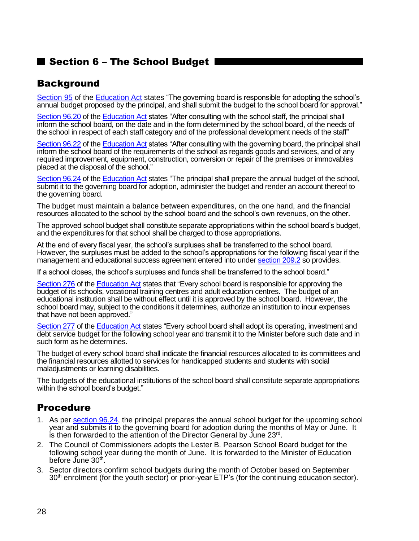## ■ Section 6 – The School Budget |

## **Background**

[Section 95](http://www2.publicationsduquebec.gouv.qc.ca/dynamicSearch/telecharge.php?type=2&file=/I_13_3/I13_3_A.html#s95) of the [Education Act](http://www2.publicationsduquebec.gouv.qc.ca/dynamicSearch/telecharge.php?type=2&file=/I_13_3/I13_3_A.html) states "The governing board is responsible for adopting the school's annual budget proposed by the principal, and shall submit the budget to the school board for approval."

[Section 96.20](http://www2.publicationsduquebec.gouv.qc.ca/dynamicSearch/telecharge.php?type=2&file=/I_13_3/I13_3_A.html#s96.20) of th[e Education Act](http://www2.publicationsduquebec.gouv.qc.ca/dynamicSearch/telecharge.php?type=2&file=/I_13_3/I13_3_A.html) states "After consulting with the school staff, the principal shall inform the school board, on the date and in the form determined by the school board, of the needs of the school in respect of each staff category and of the professional development needs of the staff"

[Section 96.22](http://www2.publicationsduquebec.gouv.qc.ca/dynamicSearch/telecharge.php?type=2&file=/I_13_3/I13_3_A.html#s96.22) of th[e Education Act](http://www2.publicationsduquebec.gouv.qc.ca/dynamicSearch/telecharge.php?type=2&file=/I_13_3/I13_3_A.html) states "After consulting with the governing board, the principal shall inform the school board of the requirements of the school as regards goods and services, and of any required improvement, equipment, construction, conversion or repair of the premises or immovables placed at the disposal of the school."

[Section 96.24](http://www2.publicationsduquebec.gouv.qc.ca/dynamicSearch/telecharge.php?type=2&file=/I_13_3/I13_3_A.html#s96.24) of th[e Education Act](http://www2.publicationsduquebec.gouv.qc.ca/dynamicSearch/telecharge.php?type=2&file=/I_13_3/I13_3_A.html) states "The principal shall prepare the annual budget of the school, submit it to the governing board for adoption, administer the budget and render an account thereof to the governing board.

The budget must maintain a balance between expenditures, on the one hand, and the financial resources allocated to the school by the school board and the school's own revenues, on the other.

The approved school budget shall constitute separate appropriations within the school board's budget, and the expenditures for that school shall be charged to those appropriations.

At the end of every fiscal year, the school's surpluses shall be transferred to the school board. However, the surpluses must be added to the school's appropriations for the following fiscal year if the management and educational success agreement entered into under [section 209.2](http://www2.publicationsduquebec.gouv.qc.ca/dynamicSearch/telecharge.php?type=2&file=/I_13_3/I13_3_A.html#s209.2) so provides.

If a school closes, the school's surpluses and funds shall be transferred to the school board."

[Section 276](http://www2.publicationsduquebec.gouv.qc.ca/dynamicSearch/telecharge.php?type=2&file=/I_13_3/I13_3_A.html#s276) of the [Education Act](http://www2.publicationsduquebec.gouv.qc.ca/dynamicSearch/telecharge.php?type=2&file=/I_13_3/I13_3_A.html) states that "Every school board is responsible for approving the budget of its schools, vocational training centres and adult education centres. The budget of an educational institution shall be without effect until it is approved by the school board. However, the school board may, subject to the conditions it determines, authorize an institution to incur expenses that have not been approved."

[Section 277](http://www2.publicationsduquebec.gouv.qc.ca/dynamicSearch/telecharge.php?type=2&file=/I_13_3/I13_3_A.html#s277) of the [Education Act](http://www2.publicationsduquebec.gouv.qc.ca/dynamicSearch/telecharge.php?type=2&file=/I_13_3/I13_3_A.html) states "Every school board shall adopt its operating, investment and debt service budget for the following school year and transmit it to the Minister before such date and in such form as he determines.

The budget of every school board shall indicate the financial resources allocated to its committees and the financial resources allotted to services for handicapped students and students with social maladjustments or learning disabilities.

The budgets of the educational institutions of the school board shall constitute separate appropriations within the school board's budget."

## Procedure

- 1. As per [section 96.24,](http://www2.publicationsduquebec.gouv.qc.ca/dynamicSearch/telecharge.php?type=2&file=/I_13_3/I13_3_A.html#s96.24) the principal prepares the annual school budget for the upcoming school year and submits it to the governing board for adoption during the months of May or June. It is then forwarded to the attention of the Director General by June 23 $^{\mathsf{rd}}$ .
- 2. The Council of Commissioners adopts the Lester B. Pearson School Board budget for the following school year during the month of June. It is forwarded to the Minister of Education before June 30<sup>th</sup>.
- 3. Sector directors confirm school budgets during the month of October based on September 30<sup>th</sup> enrolment (for the youth sector) or prior-year ETP's (for the continuing education sector).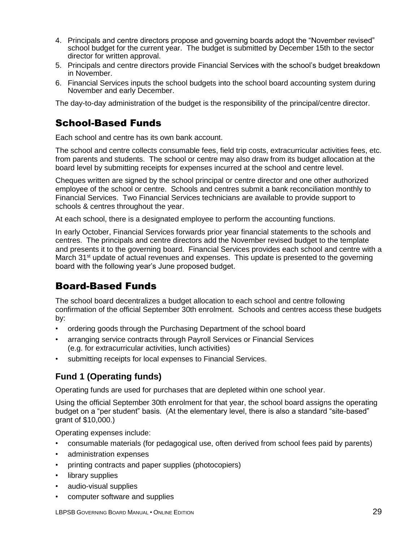- 4. Principals and centre directors propose and governing boards adopt the "November revised" school budget for the current year. The budget is submitted by December 15th to the sector director for written approval.
- 5. Principals and centre directors provide Financial Services with the school's budget breakdown in November.
- 6. Financial Services inputs the school budgets into the school board accounting system during November and early December.

The day-to-day administration of the budget is the responsibility of the principal/centre director.

## School-Based Funds

Each school and centre has its own bank account.

The school and centre collects consumable fees, field trip costs, extracurricular activities fees, etc. from parents and students. The school or centre may also draw from its budget allocation at the board level by submitting receipts for expenses incurred at the school and centre level.

Cheques written are signed by the school principal or centre director and one other authorized employee of the school or centre. Schools and centres submit a bank reconciliation monthly to Financial Services. Two Financial Services technicians are available to provide support to schools & centres throughout the year.

At each school, there is a designated employee to perform the accounting functions.

In early October, Financial Services forwards prior year financial statements to the schools and centres. The principals and centre directors add the November revised budget to the template and presents it to the governing board. Financial Services provides each school and centre with a March  $31<sup>st</sup>$  update of actual revenues and expenses. This update is presented to the governing board with the following year's June proposed budget.

## Board-Based Funds

The school board decentralizes a budget allocation to each school and centre following confirmation of the official September 30th enrolment. Schools and centres access these budgets by:

- ordering goods through the Purchasing Department of the school board
- arranging service contracts through Payroll Services or Financial Services (e.g. for extracurricular activities, lunch activities)
- submitting receipts for local expenses to Financial Services.

#### **Fund 1 (Operating funds)**

Operating funds are used for purchases that are depleted within one school year.

Using the official September 30th enrolment for that year, the school board assigns the operating budget on a "per student" basis. (At the elementary level, there is also a standard "site-based" grant of \$10,000.)

Operating expenses include:

- consumable materials (for pedagogical use, often derived from school fees paid by parents)
- administration expenses
- printing contracts and paper supplies (photocopiers)
- library supplies
- audio-visual supplies
- computer software and supplies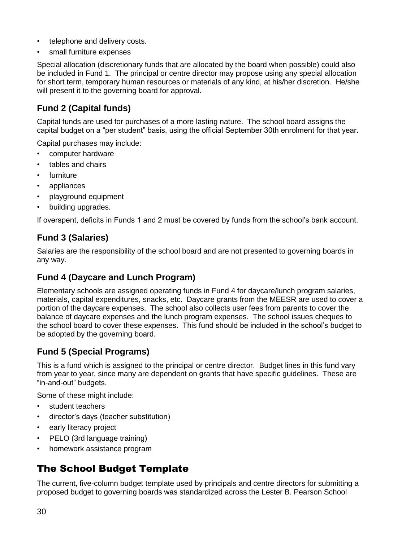- telephone and delivery costs.
- small furniture expenses

Special allocation (discretionary funds that are allocated by the board when possible) could also be included in Fund 1. The principal or centre director may propose using any special allocation for short term, temporary human resources or materials of any kind, at his/her discretion. He/she will present it to the governing board for approval.

### **Fund 2 (Capital funds)**

Capital funds are used for purchases of a more lasting nature. The school board assigns the capital budget on a "per student" basis, using the official September 30th enrolment for that year.

Capital purchases may include:

- computer hardware
- tables and chairs
- furniture
- appliances
- playground equipment
- building upgrades.

If overspent, deficits in Funds 1 and 2 must be covered by funds from the school's bank account.

#### **Fund 3 (Salaries)**

Salaries are the responsibility of the school board and are not presented to governing boards in any way.

#### **Fund 4 (Daycare and Lunch Program)**

Elementary schools are assigned operating funds in Fund 4 for daycare/lunch program salaries, materials, capital expenditures, snacks, etc. Daycare grants from the MEESR are used to cover a portion of the daycare expenses. The school also collects user fees from parents to cover the balance of daycare expenses and the lunch program expenses. The school issues cheques to the school board to cover these expenses. This fund should be included in the school's budget to be adopted by the governing board.

#### **Fund 5 (Special Programs)**

This is a fund which is assigned to the principal or centre director. Budget lines in this fund vary from year to year, since many are dependent on grants that have specific guidelines. These are "in-and-out" budgets.

Some of these might include:

- student teachers
- director's days (teacher substitution)
- early literacy project
- PELO (3rd language training)
- homework assistance program

# The School Budget Template

The current, five-column budget template used by principals and centre directors for submitting a proposed budget to governing boards was standardized across the Lester B. Pearson School